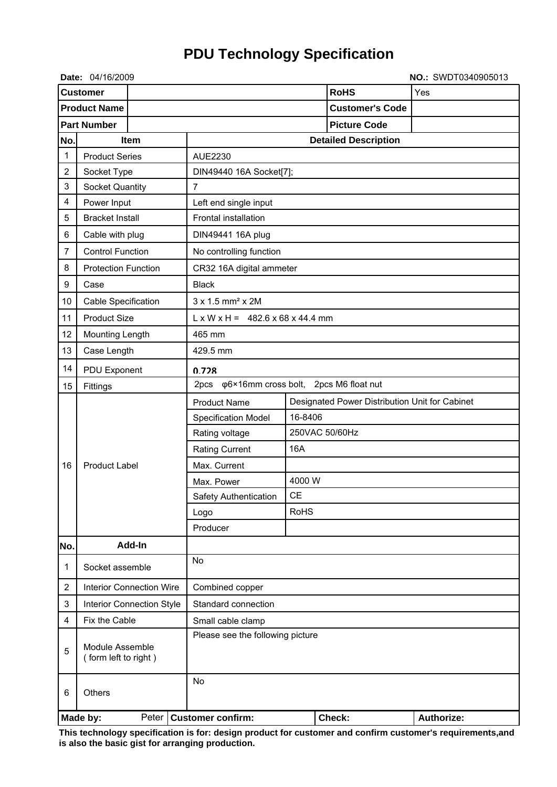## **PDU Technology Specification**

|                     | Date: 04/16/2009                        |           |                                       |                                                                       |            |  |                        | NO.: SWDT0340905013 |
|---------------------|-----------------------------------------|-----------|---------------------------------------|-----------------------------------------------------------------------|------------|--|------------------------|---------------------|
| <b>Customer</b>     |                                         |           |                                       |                                                                       |            |  | <b>RoHS</b>            | Yes                 |
| <b>Product Name</b> |                                         |           |                                       |                                                                       |            |  | <b>Customer's Code</b> |                     |
|                     | <b>Part Number</b>                      |           |                                       | <b>Picture Code</b>                                                   |            |  |                        |                     |
| No.<br>Item         |                                         |           |                                       | <b>Detailed Description</b>                                           |            |  |                        |                     |
| 1                   | <b>Product Series</b>                   |           |                                       | AUE2230                                                               |            |  |                        |                     |
| $\overline{2}$      | Socket Type                             |           |                                       | DIN49440 16A Socket[7];                                               |            |  |                        |                     |
| 3                   | <b>Socket Quantity</b>                  |           |                                       | $\overline{7}$                                                        |            |  |                        |                     |
| 4                   | Power Input                             |           |                                       | Left end single input                                                 |            |  |                        |                     |
| 5                   | <b>Bracket Install</b>                  |           |                                       | Frontal installation                                                  |            |  |                        |                     |
| 6                   | Cable with plug                         |           | DIN49441 16A plug                     |                                                                       |            |  |                        |                     |
| 7                   | <b>Control Function</b>                 |           |                                       | No controlling function                                               |            |  |                        |                     |
| 8                   | <b>Protection Function</b>              |           |                                       | CR32 16A digital ammeter                                              |            |  |                        |                     |
| 9                   | Case                                    |           | <b>Black</b>                          |                                                                       |            |  |                        |                     |
| 10                  | Cable Specification                     |           |                                       | $3 \times 1.5$ mm <sup>2</sup> $\times$ 2M                            |            |  |                        |                     |
| 11                  | <b>Product Size</b>                     |           |                                       | $L \times W \times H = 482.6 \times 68 \times 44.4$ mm                |            |  |                        |                     |
| 12                  | Mounting Length                         |           | 465 mm                                |                                                                       |            |  |                        |                     |
| 13                  | Case Length                             |           |                                       | 429.5 mm                                                              |            |  |                        |                     |
| 14                  | PDU Exponent                            |           |                                       | 0.728                                                                 |            |  |                        |                     |
| 15                  | Fittings                                |           |                                       | φ6×16mm cross bolt, 2pcs M6 float nut<br>2pcs                         |            |  |                        |                     |
|                     | <b>Product Label</b>                    |           |                                       | <b>Product Name</b><br>Designated Power Distribution Unit for Cabinet |            |  |                        |                     |
|                     |                                         |           | 16-8406<br><b>Specification Model</b> |                                                                       |            |  |                        |                     |
|                     |                                         |           | Rating voltage                        | 250VAC 50/60Hz                                                        |            |  |                        |                     |
| 16                  |                                         |           |                                       | <b>Rating Current</b>                                                 | <b>16A</b> |  |                        |                     |
|                     |                                         |           |                                       | Max. Current                                                          |            |  |                        |                     |
|                     |                                         |           | Max. Power                            |                                                                       | 4000 W     |  |                        |                     |
|                     |                                         |           | Safety Authentication                 | CЕ                                                                    |            |  |                        |                     |
|                     |                                         |           | Logo                                  | <b>RoHS</b>                                                           |            |  |                        |                     |
|                     |                                         |           | Producer                              |                                                                       |            |  |                        |                     |
| No.                 | Add-In                                  |           |                                       |                                                                       |            |  |                        |                     |
| 1                   | Socket assemble                         |           | No                                    |                                                                       |            |  |                        |                     |
| $\overline{2}$      | <b>Interior Connection Wire</b>         |           | Combined copper                       |                                                                       |            |  |                        |                     |
| 3                   | <b>Interior Connection Style</b>        |           |                                       | Standard connection                                                   |            |  |                        |                     |
| 4                   | Fix the Cable                           |           |                                       | Small cable clamp                                                     |            |  |                        |                     |
| 5                   | Module Assemble<br>(form left to right) |           |                                       | Please see the following picture                                      |            |  |                        |                     |
| 6                   | <b>Others</b>                           | <b>No</b> |                                       |                                                                       |            |  |                        |                     |
|                     | Made by:                                |           |                                       | Peter   Customer confirm:                                             |            |  | Check:                 | <b>Authorize:</b>   |

**This technology specification is for: design product for customer and confirm customer's requirements,and is also the basic gist for arranging production.**